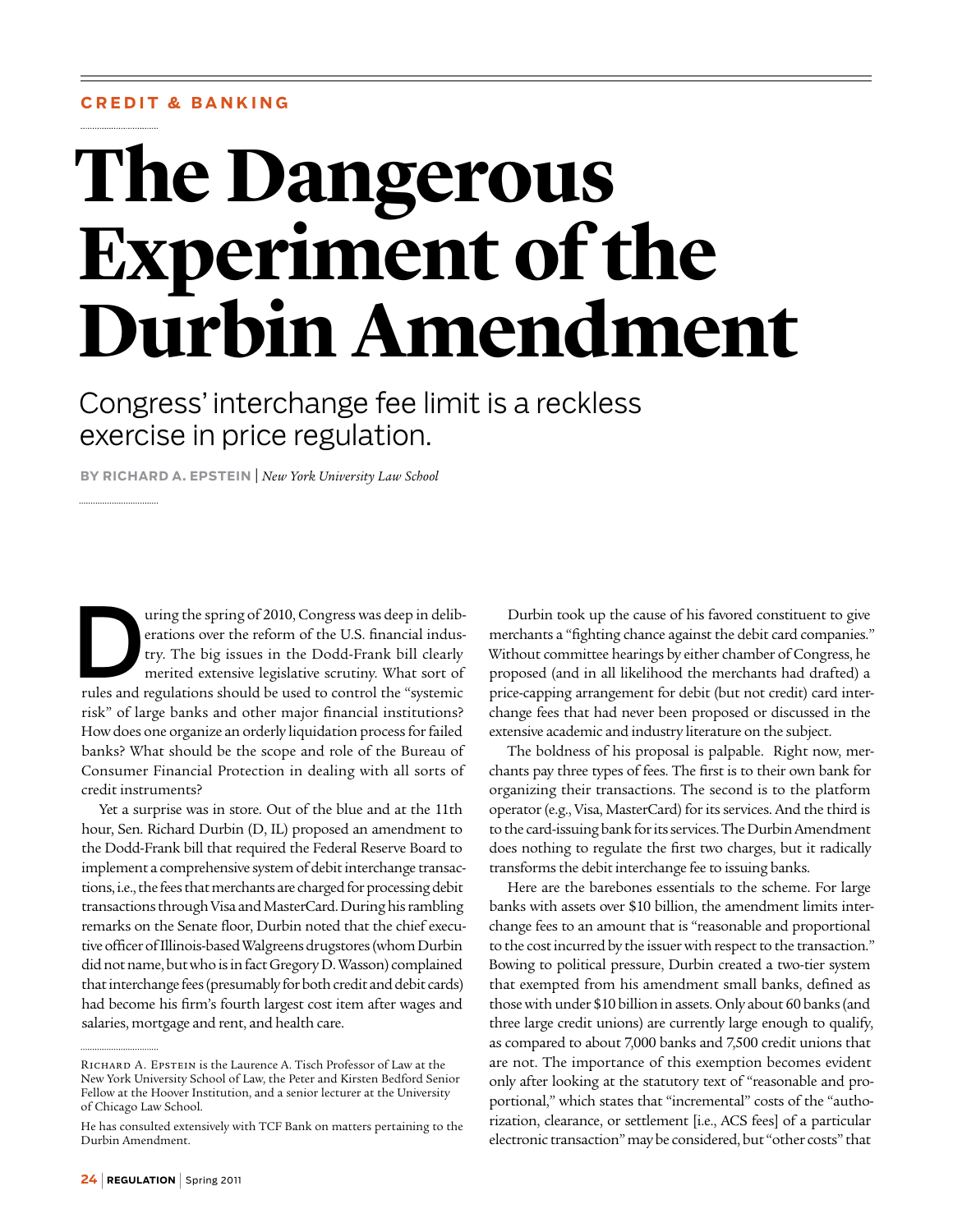## **C r edit & Banking**

# **The Dangerous Experiment of the Durbin Amendment**

Congress' interchange fee limit is a reckless exercise in price regulation.

**By Richard A. Epstein** | *New York University Law School*

uring the spring of 2010, Congress was deep in deliberations over the reform of the U.S. financial industry. The big issues in the Dodd-Frank bill clearly merited extensive legislative scrutiny. What sort of rules and revu erations over the reform of the U.S. financial industry. The big issues in the Dodd-Frank bill clearly merited extensive legislative scrutiny. What sort of rules and regulations should be used to control the "systemic risk" of large banks and other major financial institutions? How does one organize an orderly liquidation process for failed banks? What should be the scope and role of the Bureau of Consumer Financial Protection in dealing with all sorts of credit instruments?

Yet a surprise was in store. Out of the blue and at the 11th hour, Sen. Richard Durbin (D, IL) proposed an amendment to the Dodd-Frank bill that required the Federal Reserve Board to implement a comprehensive system of debit interchange transactions, i.e., the fees that merchants are charged for processing debit transactions through Visa and MasterCard. During his rambling remarks on the Senate floor, Durbin noted that the chief executive officer of Illinois-based Walgreens drugstores (whom Durbin did not name, but who is in fact Gregory D. Wasson) complained that interchange fees (presumably for both credit and debit cards) had become his firm's fourth largest cost item after wages and salaries, mortgage and rent, and health care.

Durbin took up the cause of his favored constituent to give merchants a "fighting chance against the debit card companies." Without committee hearings by either chamber of Congress, he proposed (and in all likelihood the merchants had drafted) a price-capping arrangement for debit (but not credit) card interchange fees that had never been proposed or discussed in the extensive academic and industry literature on the subject.

The boldness of his proposal is palpable. Right now, merchants pay three types of fees. The first is to their own bank for organizing their transactions. The second is to the platform operator (e.g., Visa, MasterCard) for its services. And the third is to the card-issuing bank for its services. The Durbin Amendment does nothing to regulate the first two charges, but it radically transforms the debit interchange fee to issuing banks.

Here are the barebones essentials to the scheme. For large banks with assets over \$10 billion, the amendment limits interchange fees to an amount that is "reasonable and proportional to the cost incurred by the issuer with respect to the transaction." Bowing to political pressure, Durbin created a two-tier system that exempted from his amendment small banks, defined as those with under \$10 billion in assets. Only about 60 banks (and three large credit unions) are currently large enough to qualify, as compared to about 7,000 banks and 7,500 credit unions that are not. The importance of this exemption becomes evident only after looking at the statutory text of "reasonable and proportional," which states that "incremental" costs of the "authorization, clearance, or settlement [i.e., ACS fees] of a particular electronic transaction" may be considered, but "other costs" that

Richard A. Epstein is the Laurence A. Tisch Professor of Law at the New York University School of Law, the Peter and Kirsten Bedford Senior Fellow at the Hoover Institution, and a senior lecturer at the University of Chicago Law School.

He has consulted extensively with TCF Bank on matters pertaining to the Durbin Amendment.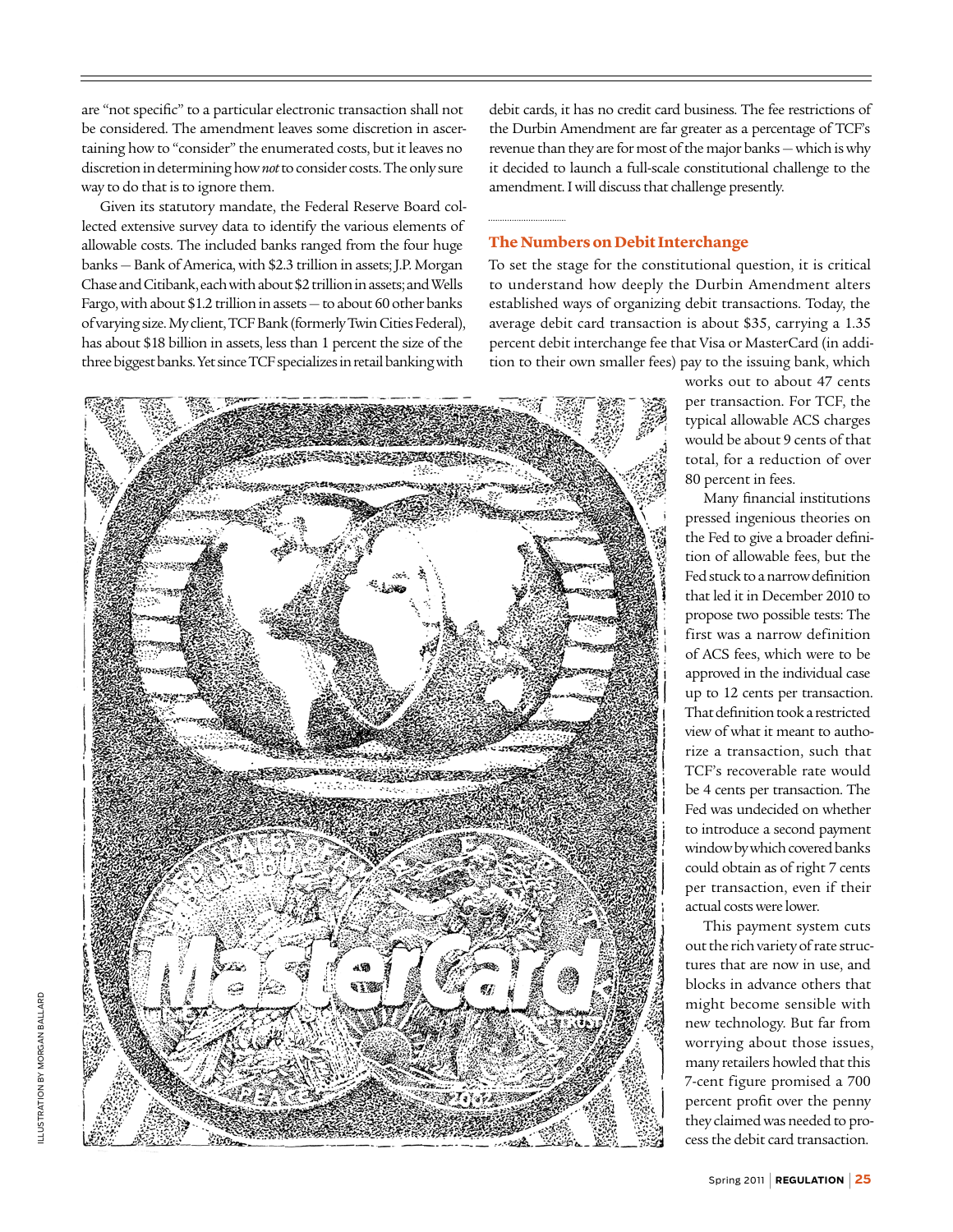are "not specific" to a particular electronic transaction shall not be considered. The amendment leaves some discretion in ascertaining how to "consider" the enumerated costs, but it leaves no discretion in determining how *not* to consider costs. The only sure way to do that is to ignore them.

Given its statutory mandate, the Federal Reserve Board collected extensive survey data to identify the various elements of allowable costs. The included banks ranged from the four huge banks — Bank of America, with \$2.3 trillion in assets; J.P. Morgan Chase and Citibank, each with about \$2 trillion in assets; and Wells Fargo, with about \$1.2 trillion in assets — to about 60 other banks of varying size. My client, TCF Bank (formerly Twin Cities Federal), has about \$18 billion in assets, less than 1 percent the size of the three biggest banks. Yet since TCF specializes in retail banking with

debit cards, it has no credit card business. The fee restrictions of the Durbin Amendment are far greater as a percentage of TCF's revenue than they are for most of the major banks — which is why it decided to launch a full-scale constitutional challenge to the amendment. I will discuss that challenge presently.

## **The Numbers on Debit Interchange**

To set the stage for the constitutional question, it is critical to understand how deeply the Durbin Amendment alters established ways of organizing debit transactions. Today, the average debit card transaction is about \$35, carrying a 1.35 percent debit interchange fee that Visa or MasterCard (in addition to their own smaller fees) pay to the issuing bank, which



works out to about 47 cents per transaction. For TCF, the typical allowable ACS charges would be about 9 cents of that total, for a reduction of over 80 percent in fees.

Many financial institutions pressed ingenious theories on the Fed to give a broader definition of allowable fees, but the Fed stuck to a narrow definition that led it in December 2010 to propose two possible tests: The first was a narrow definition of ACS fees, which were to be approved in the individual case up to 12 cents per transaction. That definition took a restricted view of what it meant to authorize a transaction, such that TCF's recoverable rate would be 4 cents per transaction. The Fed was undecided on whether to introduce a second payment window by which covered banks could obtain as of right 7 cents per transaction, even if their actual costs were lower.

This payment system cuts out the rich variety of rate structures that are now in use, and blocks in advance others that might become sensible with new technology. But far from worrying about those issues, many retailers howled that this 7-cent figure promised a 700 percent profit over the penny they claimed was needed to process the debit card transaction.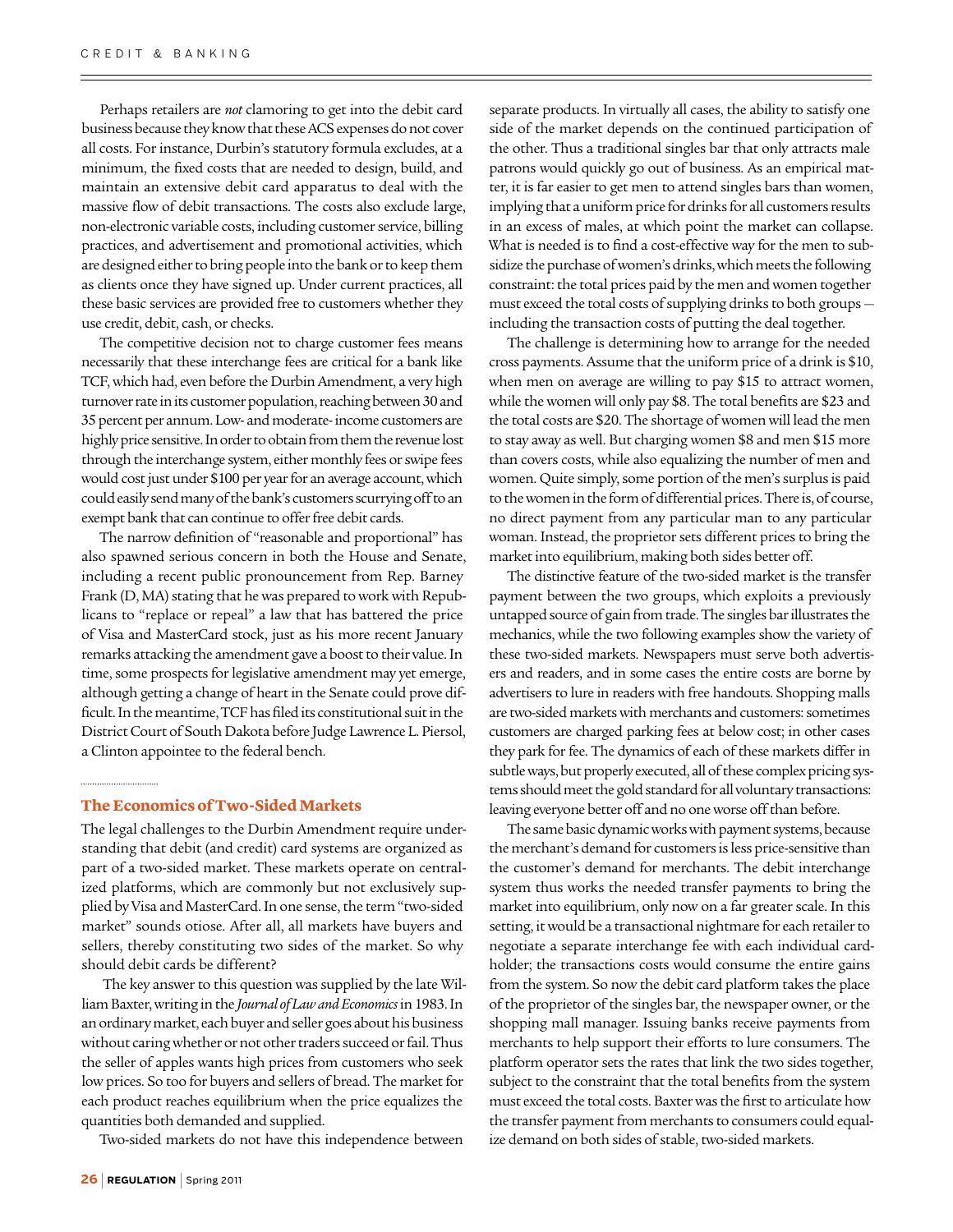Perhaps retailers are *not* clamoring to get into the debit card business because they know that these ACS expenses do not cover all costs. For instance, Durbin's statutory formula excludes, at a minimum, the fixed costs that are needed to design, build, and maintain an extensive debit card apparatus to deal with the massive flow of debit transactions. The costs also exclude large, non-electronic variable costs, including customer service, billing practices, and advertisement and promotional activities, which are designed either to bring people into the bank or to keep them as clients once they have signed up. Under current practices, all these basic services are provided free to customers whether they use credit, debit, cash, or checks.

The competitive decision not to charge customer fees means necessarily that these interchange fees are critical for a bank like TCF, which had, even before the Durbin Amendment, a very high turnover rate in its customer population, reaching between 30 and 35 percent per annum. Low- and moderate- income customers are highly price sensitive. In order to obtain from them the revenue lost through the interchange system, either monthly fees or swipe fees would cost just under \$100 per year for an average account, which could easily send many of the bank's customers scurrying off to an exempt bank that can continue to offer free debit cards.

The narrow definition of "reasonable and proportional" has also spawned serious concern in both the House and Senate, including a recent public pronouncement from Rep. Barney Frank (D, MA) stating that he was prepared to work with Republicans to "replace or repeal" a law that has battered the price of Visa and MasterCard stock, just as his more recent January remarks attacking the amendment gave a boost to their value. In time, some prospects for legislative amendment may yet emerge, although getting a change of heart in the Senate could prove difficult. In the meantime, TCF has filed its constitutional suit in the District Court of South Dakota before Judge Lawrence L. Piersol, a Clinton appointee to the federal bench.

#### **The Economics of Two-Sided Markets**

The legal challenges to the Durbin Amendment require understanding that debit (and credit) card systems are organized as part of a two-sided market. These markets operate on centralized platforms, which are commonly but not exclusively supplied by Visa and MasterCard. In one sense, the term "two-sided market" sounds otiose. After all, all markets have buyers and sellers, thereby constituting two sides of the market. So why should debit cards be different?

 The key answer to this question was supplied by the late William Baxter, writing in the *Journal of Law and Economics* in 1983. In an ordinary market, each buyer and seller goes about his business without caring whether or not other traders succeed or fail. Thus the seller of apples wants high prices from customers who seek low prices. So too for buyers and sellers of bread. The market for each product reaches equilibrium when the price equalizes the quantities both demanded and supplied.

Two-sided markets do not have this independence between

separate products. In virtually all cases, the ability to satisfy one side of the market depends on the continued participation of the other. Thus a traditional singles bar that only attracts male patrons would quickly go out of business. As an empirical matter, it is far easier to get men to attend singles bars than women, implying that a uniform price for drinks for all customers results in an excess of males, at which point the market can collapse. What is needed is to find a cost-effective way for the men to subsidize the purchase of women's drinks, which meets the following constraint: the total prices paid by the men and women together must exceed the total costs of supplying drinks to both groups including the transaction costs of putting the deal together.

The challenge is determining how to arrange for the needed cross payments. Assume that the uniform price of a drink is \$10, when men on average are willing to pay \$15 to attract women, while the women will only pay \$8. The total benefits are \$23 and the total costs are \$20. The shortage of women will lead the men to stay away as well. But charging women \$8 and men \$15 more than covers costs, while also equalizing the number of men and women. Quite simply, some portion of the men's surplus is paid to the women in the form of differential prices. There is, of course, no direct payment from any particular man to any particular woman. Instead, the proprietor sets different prices to bring the market into equilibrium, making both sides better off.

The distinctive feature of the two-sided market is the transfer payment between the two groups, which exploits a previously untapped source of gain from trade. The singles bar illustrates the mechanics, while the two following examples show the variety of these two-sided markets. Newspapers must serve both advertisers and readers, and in some cases the entire costs are borne by advertisers to lure in readers with free handouts. Shopping malls are two-sided markets with merchants and customers: sometimes customers are charged parking fees at below cost; in other cases they park for fee. The dynamics of each of these markets differ in subtle ways, but properly executed, all of these complex pricing systems should meet the gold standard for all voluntary transactions: leaving everyone better off and no one worse off than before.

The same basic dynamic works with payment systems, because the merchant's demand for customers is less price-sensitive than the customer's demand for merchants. The debit interchange system thus works the needed transfer payments to bring the market into equilibrium, only now on a far greater scale. In this setting, it would be a transactional nightmare for each retailer to negotiate a separate interchange fee with each individual cardholder; the transactions costs would consume the entire gains from the system. So now the debit card platform takes the place of the proprietor of the singles bar, the newspaper owner, or the shopping mall manager. Issuing banks receive payments from merchants to help support their efforts to lure consumers. The platform operator sets the rates that link the two sides together, subject to the constraint that the total benefits from the system must exceed the total costs. Baxter was the first to articulate how the transfer payment from merchants to consumers could equalize demand on both sides of stable, two-sided markets.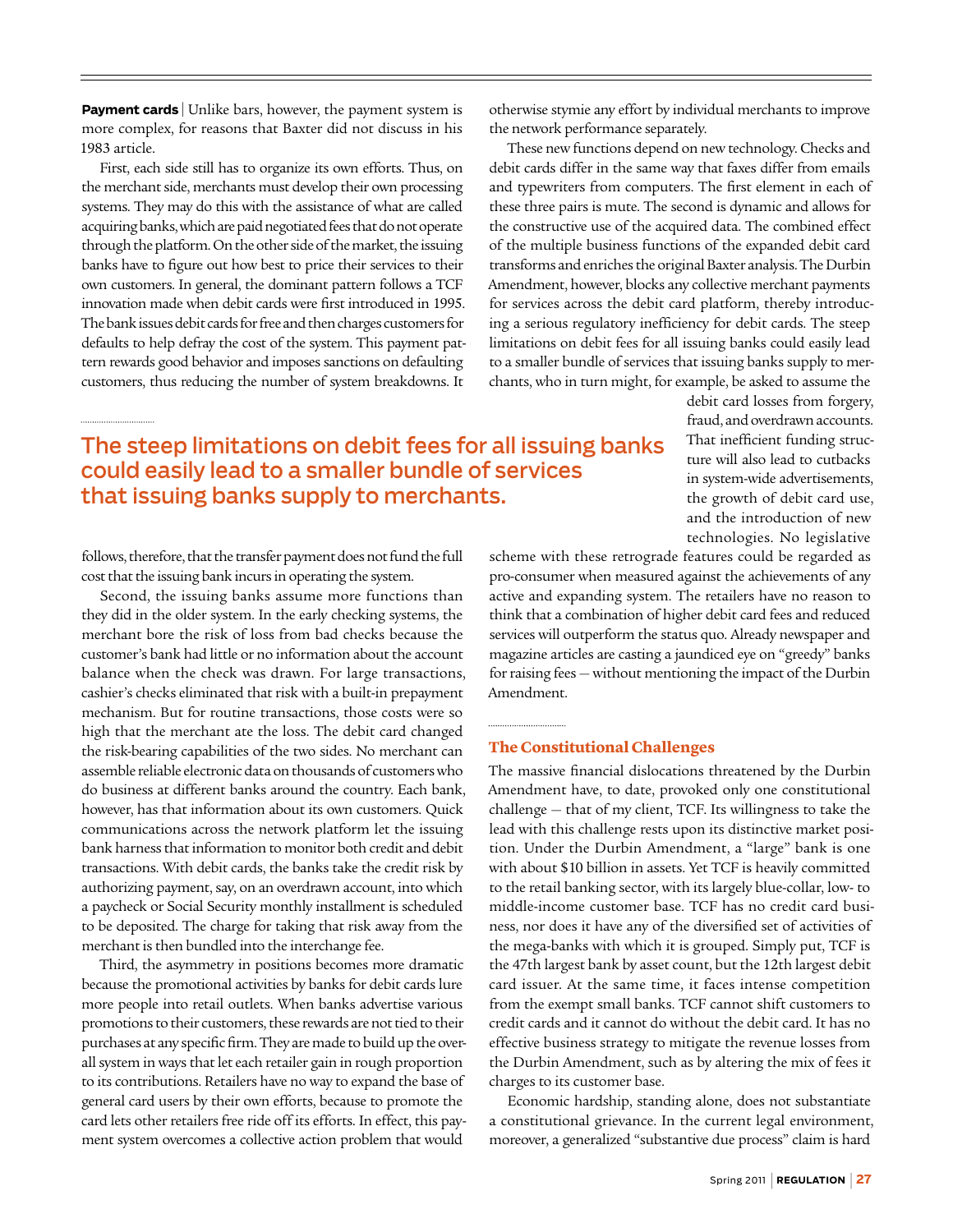**Payment cards** Unlike bars, however, the payment system is more complex, for reasons that Baxter did not discuss in his 1983 article.

First, each side still has to organize its own efforts. Thus, on the merchant side, merchants must develop their own processing systems. They may do this with the assistance of what are called acquiring banks, which are paid negotiated fees that do not operate through the platform. On the other side of the market, the issuing banks have to figure out how best to price their services to their own customers. In general, the dominant pattern follows a TCF innovation made when debit cards were first introduced in 1995. The bank issues debit cards for free and then charges customers for defaults to help defray the cost of the system. This payment pattern rewards good behavior and imposes sanctions on defaulting customers, thus reducing the number of system breakdowns. It

otherwise stymie any effort by individual merchants to improve the network performance separately.

These new functions depend on new technology. Checks and debit cards differ in the same way that faxes differ from emails and typewriters from computers. The first element in each of these three pairs is mute. The second is dynamic and allows for the constructive use of the acquired data. The combined effect of the multiple business functions of the expanded debit card transforms and enriches the original Baxter analysis. The Durbin Amendment, however, blocks any collective merchant payments for services across the debit card platform, thereby introducing a serious regulatory inefficiency for debit cards. The steep limitations on debit fees for all issuing banks could easily lead to a smaller bundle of services that issuing banks supply to merchants, who in turn might, for example, be asked to assume the

## The steep limitations on debit fees for all issuing banks could easily lead to a smaller bundle of services that issuing banks supply to merchants.

follows, therefore, that the transfer payment does not fund the full cost that the issuing bank incurs in operating the system.

Second, the issuing banks assume more functions than they did in the older system. In the early checking systems, the merchant bore the risk of loss from bad checks because the customer's bank had little or no information about the account balance when the check was drawn. For large transactions, cashier's checks eliminated that risk with a built-in prepayment mechanism. But for routine transactions, those costs were so high that the merchant ate the loss. The debit card changed the risk-bearing capabilities of the two sides. No merchant can assemble reliable electronic data on thousands of customers who do business at different banks around the country. Each bank, however, has that information about its own customers. Quick communications across the network platform let the issuing bank harness that information to monitor both credit and debit transactions. With debit cards, the banks take the credit risk by authorizing payment, say, on an overdrawn account, into which a paycheck or Social Security monthly installment is scheduled to be deposited. The charge for taking that risk away from the merchant is then bundled into the interchange fee.

Third, the asymmetry in positions becomes more dramatic because the promotional activities by banks for debit cards lure more people into retail outlets. When banks advertise various promotions to their customers, these rewards are not tied to their purchases at any specific firm. They are made to build up the overall system in ways that let each retailer gain in rough proportion to its contributions. Retailers have no way to expand the base of general card users by their own efforts, because to promote the card lets other retailers free ride off its efforts. In effect, this payment system overcomes a collective action problem that would

That inefficient funding structure will also lead to cutbacks in system-wide advertisements, the growth of debit card use, and the introduction of new technologies. No legislative scheme with these retrograde features could be regarded as

debit card losses from forgery, fraud, and overdrawn accounts.

pro-consumer when measured against the achievements of any active and expanding system. The retailers have no reason to think that a combination of higher debit card fees and reduced services will outperform the status quo. Already newspaper and magazine articles are casting a jaundiced eye on "greedy" banks for raising fees — without mentioning the impact of the Durbin Amendment.

## **The Constitutional Challenges**

The massive financial dislocations threatened by the Durbin Amendment have, to date, provoked only one constitutional challenge — that of my client, TCF. Its willingness to take the lead with this challenge rests upon its distinctive market position. Under the Durbin Amendment, a "large" bank is one with about \$10 billion in assets. Yet TCF is heavily committed to the retail banking sector, with its largely blue-collar, low- to middle-income customer base. TCF has no credit card business, nor does it have any of the diversified set of activities of the mega-banks with which it is grouped. Simply put, TCF is the 47th largest bank by asset count, but the 12th largest debit card issuer. At the same time, it faces intense competition from the exempt small banks. TCF cannot shift customers to credit cards and it cannot do without the debit card. It has no effective business strategy to mitigate the revenue losses from the Durbin Amendment, such as by altering the mix of fees it charges to its customer base.

Economic hardship, standing alone, does not substantiate a constitutional grievance. In the current legal environment, moreover, a generalized "substantive due process" claim is hard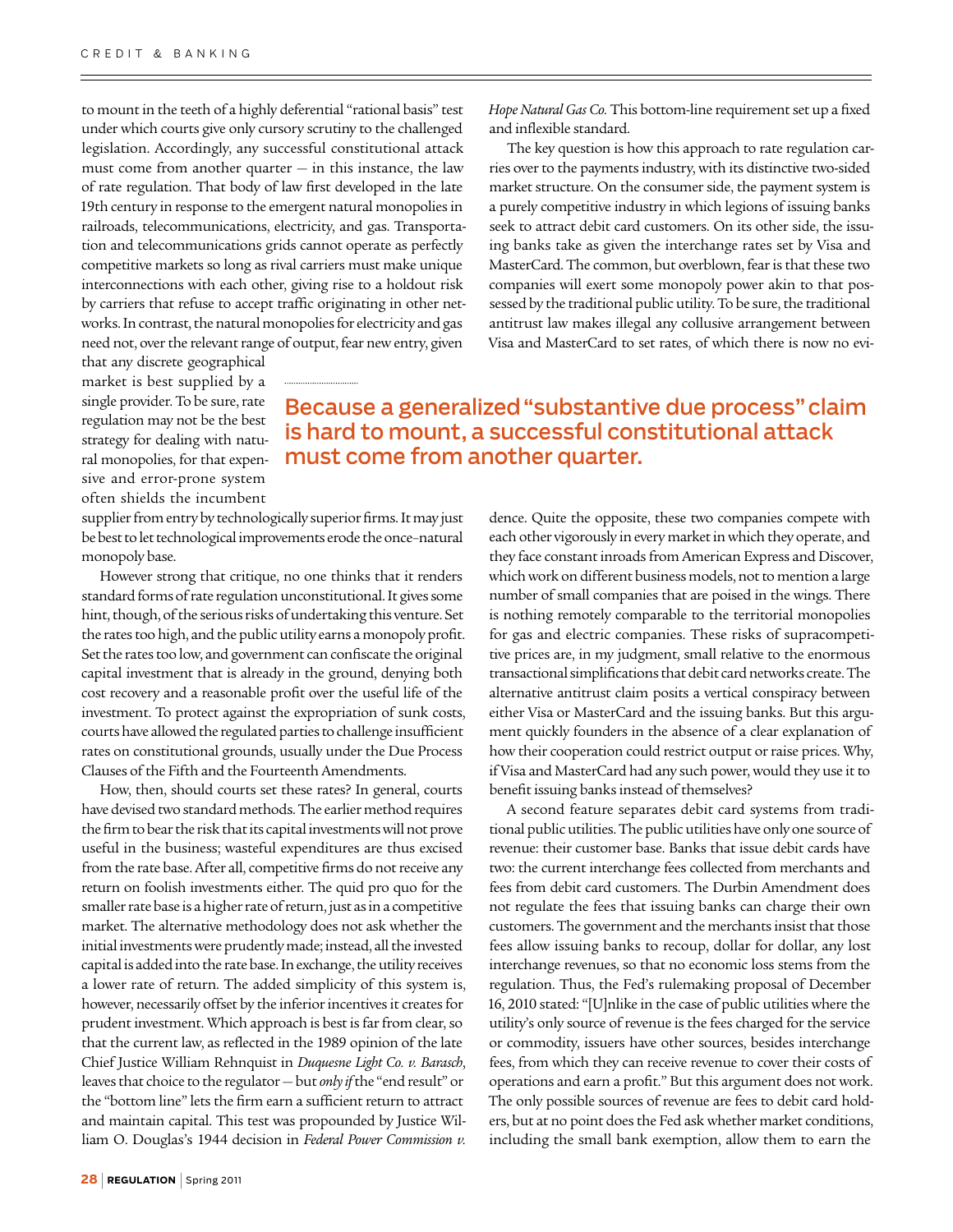to mount in the teeth of a highly deferential "rational basis" test under which courts give only cursory scrutiny to the challenged legislation. Accordingly, any successful constitutional attack must come from another quarter  $-$  in this instance, the law of rate regulation. That body of law first developed in the late 19th century in response to the emergent natural monopolies in railroads, telecommunications, electricity, and gas. Transportation and telecommunications grids cannot operate as perfectly competitive markets so long as rival carriers must make unique interconnections with each other, giving rise to a holdout risk by carriers that refuse to accept traffic originating in other networks. In contrast, the natural monopolies for electricity and gas need not, over the relevant range of output, fear new entry, given

*Hope Natural Gas Co.* This bottom-line requirement set up a fixed and inflexible standard.

The key question is how this approach to rate regulation carries over to the payments industry, with its distinctive two-sided market structure. On the consumer side, the payment system is a purely competitive industry in which legions of issuing banks seek to attract debit card customers. On its other side, the issuing banks take as given the interchange rates set by Visa and MasterCard. The common, but overblown, fear is that these two companies will exert some monopoly power akin to that possessed by the traditional public utility. To be sure, the traditional antitrust law makes illegal any collusive arrangement between Visa and MasterCard to set rates, of which there is now no evi-

that any discrete geographical market is best supplied by a single provider. To be sure, rate regulation may not be the best strategy for dealing with natural monopolies, for that expensive and error-prone system often shields the incumbent

## Because a generalized "substantive due process" claim is hard to mount, a successful constitutional attack must come from another quarter.

supplier from entry by technologically superior firms. It may just be best to let technological improvements erode the once–natural monopoly base.

However strong that critique, no one thinks that it renders standard forms of rate regulation unconstitutional. It gives some hint, though, of the serious risks of undertaking this venture. Set the rates too high, and the public utility earns a monopoly profit. Set the rates too low, and government can confiscate the original capital investment that is already in the ground, denying both cost recovery and a reasonable profit over the useful life of the investment. To protect against the expropriation of sunk costs, courts have allowed the regulated parties to challenge insufficient rates on constitutional grounds, usually under the Due Process Clauses of the Fifth and the Fourteenth Amendments.

How, then, should courts set these rates? In general, courts have devised two standard methods. The earlier method requires the firm to bear the risk that its capital investments will not prove useful in the business; wasteful expenditures are thus excised from the rate base. After all, competitive firms do not receive any return on foolish investments either. The quid pro quo for the smaller rate base is a higher rate of return, just as in a competitive market. The alternative methodology does not ask whether the initial investments were prudently made; instead, all the invested capital is added into the rate base. In exchange, the utility receives a lower rate of return. The added simplicity of this system is, however, necessarily offset by the inferior incentives it creates for prudent investment. Which approach is best is far from clear, so that the current law, as reflected in the 1989 opinion of the late Chief Justice William Rehnquist in *Duquesne Light Co. v. Barasch*, leaves that choice to the regulator — but *only if* the "end result" or the "bottom line" lets the firm earn a sufficient return to attract and maintain capital. This test was propounded by Justice William O. Douglas's 1944 decision in *Federal Power Commission v.*  dence. Quite the opposite, these two companies compete with each other vigorously in every market in which they operate, and they face constant inroads from American Express and Discover, which work on different business models, not to mention a large number of small companies that are poised in the wings. There is nothing remotely comparable to the territorial monopolies for gas and electric companies. These risks of supracompetitive prices are, in my judgment, small relative to the enormous transactional simplifications that debit card networks create. The alternative antitrust claim posits a vertical conspiracy between either Visa or MasterCard and the issuing banks. But this argument quickly founders in the absence of a clear explanation of how their cooperation could restrict output or raise prices. Why, if Visa and MasterCard had any such power, would they use it to benefit issuing banks instead of themselves?

A second feature separates debit card systems from traditional public utilities. The public utilities have only one source of revenue: their customer base. Banks that issue debit cards have two: the current interchange fees collected from merchants and fees from debit card customers. The Durbin Amendment does not regulate the fees that issuing banks can charge their own customers. The government and the merchants insist that those fees allow issuing banks to recoup, dollar for dollar, any lost interchange revenues, so that no economic loss stems from the regulation. Thus, the Fed's rulemaking proposal of December 16, 2010 stated: "[U]nlike in the case of public utilities where the utility's only source of revenue is the fees charged for the service or commodity, issuers have other sources, besides interchange fees, from which they can receive revenue to cover their costs of operations and earn a profit." But this argument does not work. The only possible sources of revenue are fees to debit card holders, but at no point does the Fed ask whether market conditions, including the small bank exemption, allow them to earn the